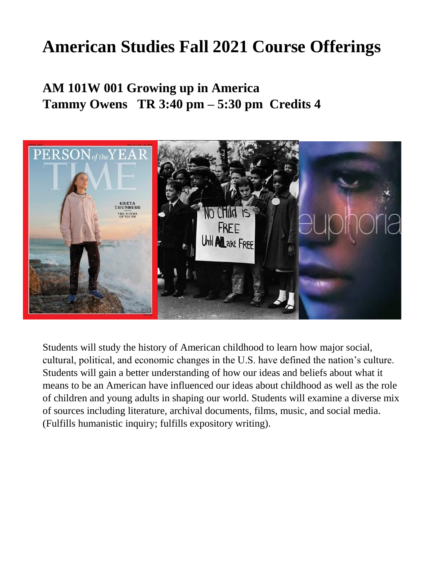# **American Studies Fall 2021 Course Offerings**

### **AM 101W 001 Growing up in America Tammy Owens TR 3:40 pm – 5:30 pm Credits 4**



Students will study the history of American childhood to learn how major social, cultural, political, and economic changes in the U.S. have defined the nation's culture. Students will gain a better understanding of how our ideas and beliefs about what it means to be an American have influenced our ideas about childhood as well as the role of children and young adults in shaping our world. Students will examine a diverse mix of sources including literature, archival documents, films, music, and social media. (Fulfills humanistic inquiry; fulfills expository writing).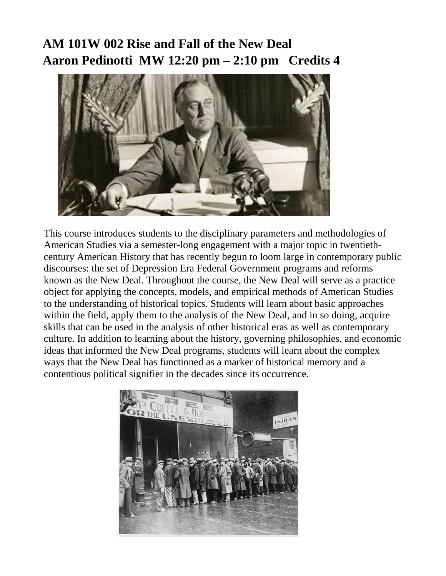### **AM 101W 002 Rise and Fall of the New Deal Aaron Pedinotti MW 12:20 pm – 2:10 pm Credits 4**



This course introduces students to the disciplinary parameters and methodologies of American Studies via a semester-long engagement with a major topic in twentiethcentury American History that has recently begun to loom large in contemporary public discourses: the set of Depression Era Federal Government programs and reforms known as the New Deal. Throughout the course, the New Deal will serve as a practice object for applying the concepts, models, and empirical methods of American Studies to the understanding of historical topics. Students will learn about basic approaches within the field, apply them to the analysis of the New Deal, and in so doing, acquire skills that can be used in the analysis of other historical eras as well as contemporary culture. In addition to learning about the history, governing philosophies, and economic ideas that informed the New Deal programs, students will learn about the complex ways that the New Deal has functioned as a marker of historical memory and a contentious political signifier in the decades since its occurrence.

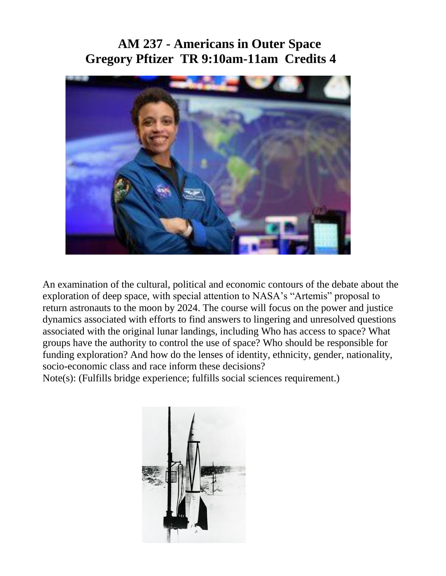### **AM 237 - Americans in Outer Space Gregory Pftizer TR 9:10am-11am Credits 4**



An examination of the cultural, political and economic contours of the debate about the exploration of deep space, with special attention to NASA's "Artemis" proposal to return astronauts to the moon by 2024. The course will focus on the power and justice dynamics associated with efforts to find answers to lingering and unresolved questions associated with the original lunar landings, including Who has access to space? What groups have the authority to control the use of space? Who should be responsible for funding exploration? And how do the lenses of identity, ethnicity, gender, nationality, socio-economic class and race inform these decisions?

Note(s): (Fulfills bridge experience; fulfills social sciences requirement.)

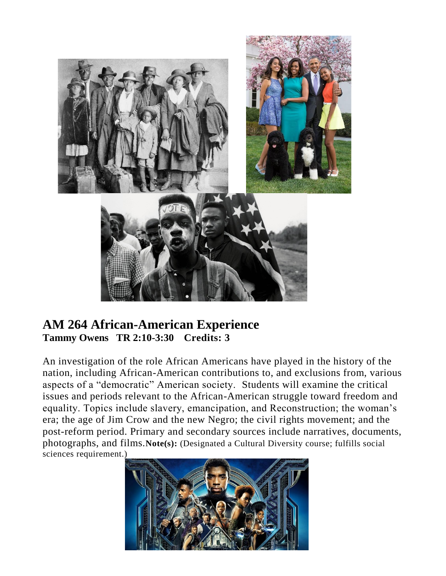

#### **AM 264 African-American Experience Tammy Owens TR 2:10-3:30 Credits: 3**

An investigation of the role African Americans have played in the history of the nation, including African-American contributions to, and exclusions from, various aspects of a "democratic" American society. Students will examine the critical issues and periods relevant to the African-American struggle toward freedom and equality. Topics include slavery, emancipation, and Reconstruction; the woman's era; the age of Jim Crow and the new Negro; the civil rights movement; and the post-reform period. Primary and secondary sources include narratives, documents, photographs, and films.**Note(s):** (Designated a Cultural Diversity course; fulfills social sciences requirement.)

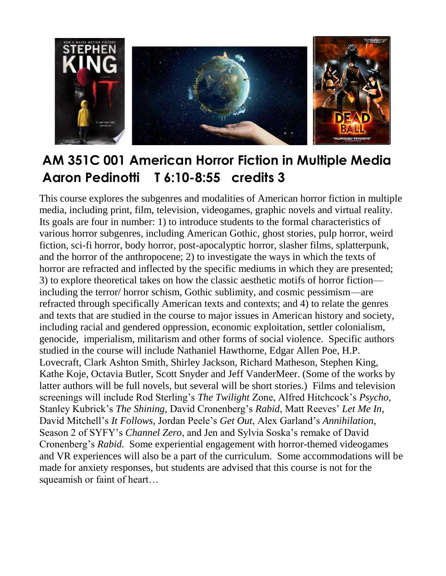

## **AM 351C 001 American Horror Fiction in Multiple Media Aaron Pedinotti T 6:10-8:55 credits 3**

This course explores the subgenres and modalities of American horror fiction in multiple media, including print, film, television, videogames, graphic novels and virtual reality. Its goals are four in number: 1) to introduce students to the formal characteristics of various horror subgenres, including American Gothic, ghost stories, pulp horror, weird fiction, sci-fi horror, body horror, post-apocalyptic horror, slasher films, splatterpunk, and the horror of the anthropocene; 2) to investigate the ways in which the texts of horror are refracted and inflected by the specific mediums in which they are presented; 3) to explore theoretical takes on how the classic aesthetic motifs of horror fiction including the terror/ horror schism, Gothic sublimity, and cosmic pessimism—are refracted through specifically American texts and contexts; and 4) to relate the genres and texts that are studied in the course to major issues in American history and society, including racial and gendered oppression, economic exploitation, settler colonialism, genocide, imperialism, militarism and other forms of social violence. Specific authors studied in the course will include Nathaniel Hawthorne, Edgar Allen Poe, H.P. Lovecraft, Clark Ashton Smith, Shirley Jackson, Richard Matheson, Stephen King, Kathe Koje, Octavia Butler, Scott Snyder and Jeff VanderMeer. (Some of the works by latter authors will be full novels, but several will be short stories.) Films and television screenings will include Rod Sterling's *The Twilight* Zone, Alfred Hitchcock's *Psycho*, Stanley Kubrick's *The Shining,* David Cronenberg's *Rabid*, Matt Reeves' *Let Me In*, David Mitchell's *It Follows,* Jordan Peele's *Get Out*, Alex Garland's *Annihilation*, Season 2 of SYFY's *Channel Zero*, and Jen and Sylvia Soska's remake of David Cronenberg's *Rabid.* Some experiential engagement with horror-themed videogames and VR experiences will also be a part of the curriculum. Some accommodations will be made for anxiety responses, but students are advised that this course is not for the squeamish or faint of heart…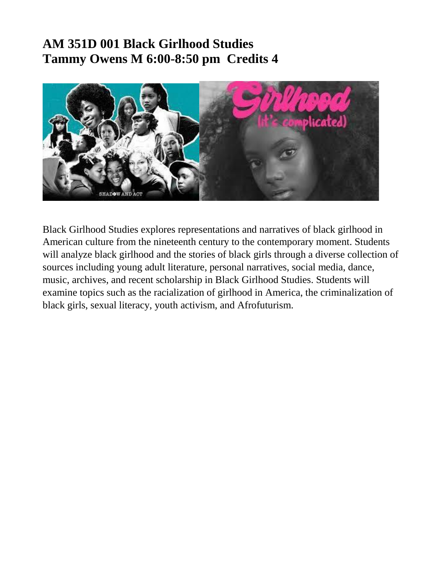### **AM 351D 001 Black Girlhood Studies Tammy Owens M 6:00-8:50 pm Credits 4**



Black Girlhood Studies explores representations and narratives of black girlhood in American culture from the nineteenth century to the contemporary moment. Students will analyze black girlhood and the stories of black girls through a diverse collection of sources including young adult literature, personal narratives, social media, dance, music, archives, and recent scholarship in Black Girlhood Studies. Students will examine topics such as the racialization of girlhood in America, the criminalization of black girls, sexual literacy, youth activism, and Afrofuturism.